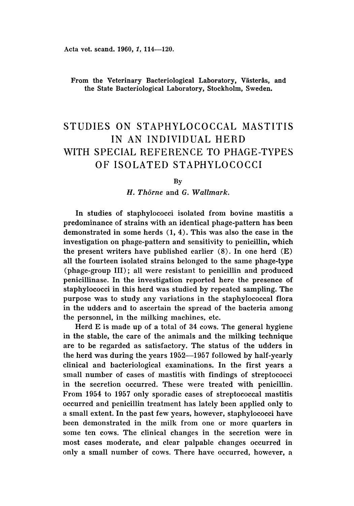Acta vet. scand. 1960, 1, 114-120.

From the Veterinary Bacteriological Laboratory, Västerås, and the State Bacteriological Laboratory, Stockholm, Sweden.

# STUDIES ON STAPHYLOCOCCAL MASTITIS IN AN INDIVIDUAL HERD WITH SPECIAL REFERENCE TO PHAGE-TYPES OF ISOLATED STAPHYLOCOCCI

By

*H. Thorne* and *G. Wallmark.*

In studies of staphylococci isolated from bovine mastitis a predominance of strains with an identical phage-pattern has been demonstrated in some herds (1, 4). This was also the case in the investigation on phage-pattern and sensitivity to penicillin, which the present writers have published earlier  $(8)$ . In one herd  $(E)$ all the fourteen isolated strains belonged to the same phage-type (phage-group III); all were resistant to penicillin and produced penicillinase. In the investigation reported here the presence of staphylococci in this herd was studied by repeated sampling. The purpose was to study any variations in the staphylococcal flora in the udders and to ascertain the spread of the bacteria among the personnel, in the milking machines, etc.

Herd E is made up of a total of 34 cows. The general hygiene in the stable, the care of the animals and the milking technique are to be regarded as satisfactory. The status of the udders in the herd was during the years 1952-1957 followed by half-yearly clinical and bacteriological examinations. In the first years a small number of cases of mastitis with findings of streptococci in the secretion occurred. These were treated with penicillin. From 1954 to 1957 only sporadic cases of streptococcal mastitis occurred and penicillin treatment has lately been applied only to a small extent. In the past few years, however, staphylococci have been demonstrated in the milk from one or more quarters in some ten cows. The clinical changes in the secretion were in most cases moderate, and clear palpable changes occurred in only a small number of cows. There have occurred, however, n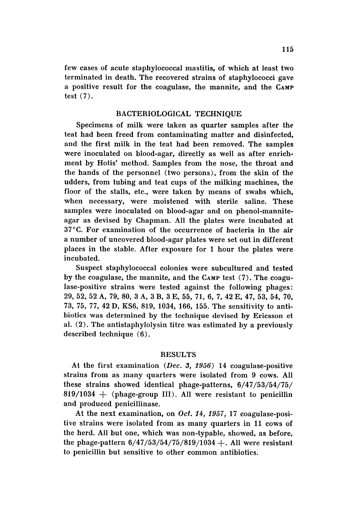few cases of acute staphylococcal mastitis, of which at least two terminated in death. The recovered strains of staphylococci gave a positive result for the coagulase, the mannite, and the CAMP test  $(7)$ .

#### BACTERIOLOGICAL TECHNIQUE

Specimens of milk were taken as quarter samples after the teat had been freed from contaminating matter and disinfected, and the first milk in the teat had been removed. The samples were inoculated on blood-agar, directly as well as after enrichment by Hotis' method. Samples from the nose, the throat and the hands of the personnel (two persons), from the skin of the udders, from tubing and teat cups of the milking machines, the floor of the stalls, etc., were taken by means of swabs which, when necessary, were moistened with sterile saline. These samples were inoculated on blood-agar and on phenol-manniteagar as devised by Chapman. All the plates were incubated at 37°C. For examination of the occurrence of bacteria in the air a number of uncovered blood-agar plates were set out in different places in the stable. After exposure for 1 hour the plates were incubated.

Suspect staphylococcal colonies were subcultured and tested by the coagulase, the mannite, and the CAMP test (7). The coagulase-positive strains were tested against the following phages: 29, 52, 52 A, 79, 80, 3 A, 3 B, 3 E, 55, 71, 6, 7, 42 "E, 47, 53, 54, 70, 73, 75, 77,42 D, KS6, 819, 1034, 166, 155. The sensitivity to antibiotics was determined by the technique devised by Ericsson et al. (2) . The antistaphylolysin titre was estimated by a previously described technique (6).

## RESULTS

At the first examination (Dec. 3, 1956) 14 coagulase-positive strains from as many quarters were isolated from 9 cows. All these strains showed identical phage-patterns, 6/47/53/54/75/  $819/1034$  + (phage-group III). All were resistant to penicillin and produced penicillinase.

At the next examination, on *Oct.* 14, 1957, 17 coagulase-positive strains were isolated from as many quarters in 11 cows of the herd. All but one, which was non-typable, showed, as before, the phage-pattern  $6/47/53/54/75/819/1034 +$ . All were resistant to penicillin but sensitive to other common antibiotics.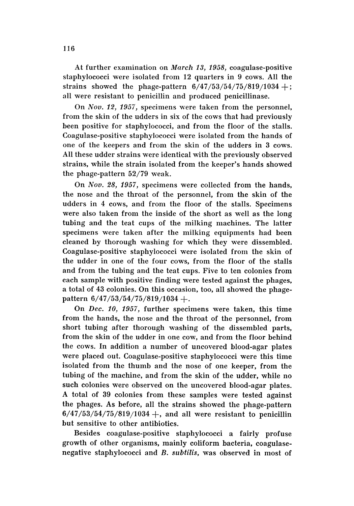At further examination on March 13, 1958, coagulase-positive staphylococci were isolated from 12 quarters in 9 cows. All the strains showed the phage-pattern  $6/47/53/54/75/819/1034 +$ ; all were resistant to penicillin and produced penicillinase.

On *Nov.* 12, 1957, specimens were taken from the personnel, from the skin of the udders in six of the cows that had previously been positive for staphylococci, and from the floor of the stalls. Coagulase-positive staphylococci were isolated from the hands of one of the keepers and from the skin of the udders in 3 cows. All these udder strains were identical with the previously observed strains, while the strain isolated from the keeper's hands showed the phage-pattern 52/79 weak.

On *Nov.* 28, 1957, specimens were collected from the hands, the nose and the throat of the personnel, from the skin of the udders in 4 cows, and from the floor of the stalls. Specimens were also taken from the inside of the short as well as the long tubing and the teat cups of the milking machines. The latter specimens were taken after the milking equipments had been cleaned by thorough washing for which they were dissembled. Coagulase-positive staphylococci were isolated from the skin of the udder in one of the four cows, from the floor of the stalls and from the tubing and the teat cups. Five to ten colonies from each sample with positive finding were tested against the phages, a total of 43 colonies. On this occasion, too, all showed the phagepattern  $6/47/53/54/75/819/1034 +$ .

On *Dec. 10,* 1957, further specimens were taken, this time from the hands, the nose and the throat of the personnel, from short tubing after thorough washing of the dissembled parts, from the skin of the udder in one cow, and from the floor behind the cows. In addition a number of uncovered blood-agar plates were placed out. Coagulase-positive staphylococci were this time isolated from the thumb and the nose of one keeper, from the tubing of the machine, and from the skin of the udder, while no such colonies were observed on the uncovered blood-agar plates. A total of 39 colonies from these samples were tested against the phages. As before, all the strains showed the phage-pattern  $6/47/53/54/75/819/1034 +$ , and all were resistant to penicillin but sensitive to other antibiotics.

Besides coagulase-positive staphylococci a fairly profuse growth of other organisms, mainly coliform bacteria, coagulasenegative staphylococci and *B. subtilis,* was observed in most of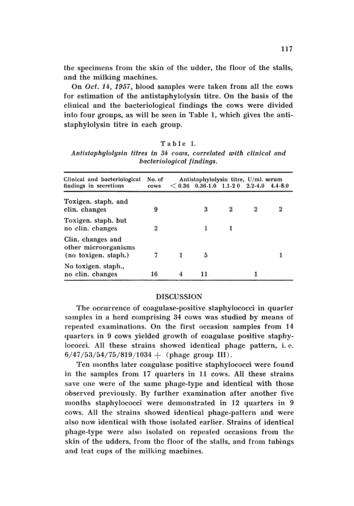the specimens from the skin of the udder, the floor of the stalls, and the milking machines.

On *Oct.* 14, 1957, blood samples were taken from all the cows for estimation of the antistaphylolysin titre. On the basis of the clinical and the bacteriological findings the cows were divided into four groups, as will be seen in Table 1, which gives the antistaphylolysin titre in each group.

### Table 1.

| Antistaphylolysin titres in 34 cows, correlated with clinical and |  |  |  |  |  |  |  |  |  |  |  |  |
|-------------------------------------------------------------------|--|--|--|--|--|--|--|--|--|--|--|--|
| bacteriological findings.                                         |  |  |  |  |  |  |  |  |  |  |  |  |

| Antistaphylolysin titre, U/ml. serum                              |                |  |                                   |          |                  |             |  |  |  |
|-------------------------------------------------------------------|----------------|--|-----------------------------------|----------|------------------|-------------|--|--|--|
| Clinical and bacteriological<br>findings in secretions            | No. of<br>cows |  | $<$ 0.36 0.36-1.0 1.1-2 0 2.2-4.0 |          |                  | $4.4 - 8.0$ |  |  |  |
| Toxigen. staph. and<br>clin. changes                              | 9              |  | 3                                 | $\bf{2}$ | $\boldsymbol{2}$ | 2           |  |  |  |
| Toxigen. staph. but<br>no clin. changes                           | $\bf{2}$       |  |                                   |          |                  |             |  |  |  |
| Clin. changes and<br>other microorganisms<br>(no toxigen. staph.) |                |  | 5                                 |          |                  |             |  |  |  |
| No toxigen. staph.,<br>no clin. changes                           | 16             |  | 11                                |          |                  |             |  |  |  |

#### DISCUSSION

The occurrence of coagulase-positive staphylococci in quarter samples in a herd comprising 34 cows was studied by means of repeated examinations. On the first occasion samples from 14 quarters in 9 cows yielded growth of coagulase positive staphylococci. All these strains showed identical phage pattern, i. e.  $6/47/53/54/75/819/1034 +$  (phage group III).

Ten months later coagulase positive staphylococci were found in the samples from 17 quarters in 11 cows. All these strains save one were of the same phage-type and identical with those observed previously. By further examination after another five months staphylococci were demonstrated in 12 quarters in 9 cows. All the strains showed identical phage-pattern and were also now identical with those isolated earlier. Strains of identical phage-type were also isolated on repeated occasions from the skin of the udders, from the floor of the stalls, and from tubings and teat cups of the milking machines.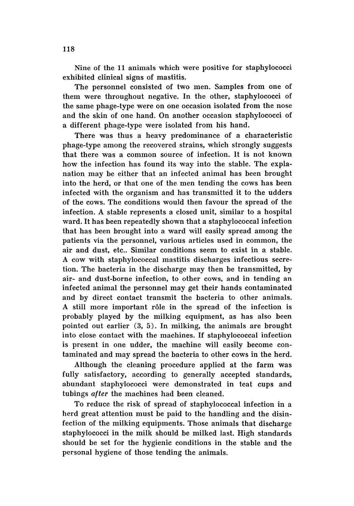Nine of the 11 animals which were positive for staphylococci exhibited clinical signs of mastitis.

The personnel consisted of two men. Samples from one of them were throughout negative. In the other, staphylococci of the same phage-type were on one occasion isolated from the nose and the skin of one hand. On another occasion staphylococci of a different phage-type were isolated from his hand.

There was thus a heavy predominance of a characteristic phage-type among the recovered strains, which strongly suggests that there was a common source of infection. It is not known how the infection has found its way into the stable. The explanation may be either that an infected animal has been brought into the herd, or that one of the men tending the cows has been infected with the organism and has transmitted it to the udders of the cows. The conditions would then favour the spread of the infection. A stable represents a closed unit, similar to a hospital ward. It has been repeatedly shown that a staphylococcal infection that has been brought into a ward will easily spread among the patients via the personnel, various articles used in common, the air and dust, etc.. Similar conditions seem to exist in a stable. A cow with staphylococcal mastitis discharges infectious secretion. The bacteria in the discharge may then be transmitted, by air- and dust-borne infection, to other cows, and in tending an infected animal the personnel may get their hands contaminated and by direct contact transmit the bacteria to other animals. A still more important rôle in the spread of the infection is probably played by the milking equipment, as has also been pointed out earlier (3, 5). In milking, the animals are brought into close contact with the machines. If staphylococcal infection is present in one udder, the machine will easily become contaminated and may spread the bacteria to other cows in the herd.

Although the cleaning procedure applied at the farm was fully satisfactory, according to generally accepted standards, abundant staphylococci were demonstrated in teat cups and tubings *after* the machines had been cleaned.

To reduce the risk of spread of staphylococcal infection in a herd great attention must be paid to the handling and the disinfection of the milking equipments. Those animals that discharge staphylococci in the milk should be milked last. High standards should be set for the hygienic conditions in the stable and the personal hygiene of those tending the animals.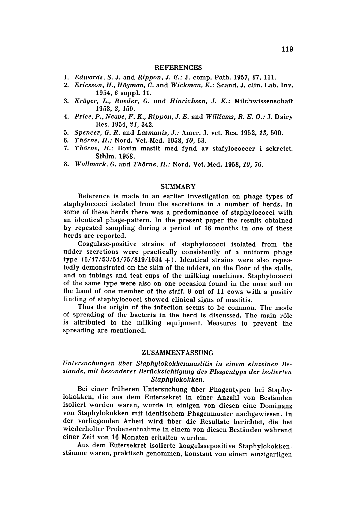#### **REFERENCES**

- *1. Edwards,* S. J. and *Rippon,* J. *E.:* J. cornp. Path. 1957,67, 111.
- 2. *Ericsson, H., Högman, C.* and *Wickman, K.: Scand, J. clin. Lab. Inv.* 1954, 6 suppl. 11.
- *3. Kriiger, L., Roeder,* G. und *Hinrichsen,* J. *K.:* Milchwissenschaft 1953, 8, 150.
- *4. Price, P., Neave, F. K., Rippon,* J. *E.* and *Williams, R. E. 0 .:* J. Dairy Res. 1954,21, 342.
- *5. Spencer,* G. *R.* and *Lasmanis,* J.: Amer, J. vet. Res . 1952, 13, 500.
- *6. Thorne, H.:* Nord. Vet.-Med. 1958, *10, 63.*
- *7. Thorne, H.:* Bovin mastit med fynd av stafylococcer i sekretet. Sthlm. 1958.
- *8. Wallmark,* G. and *Thorne, H.:* Nord. Vet.-Med . 1958, *10, 76.*

#### SUMMARY

Reference is made to an earlier investigation on phage types of staphylococci isolated from the secretions in a number of herds. In some of these herds there was a predominance of staphylococci with an identical phage-pattern. In the present paper the results obtained by repeated sampling during a period of 16 months in one of these herds are reported.

Coagulase-positive strains of staphylococci isolated from the udder secretions were practically consistently of a uniform phage type  $\frac{6}{47}{53/54}/75/819/1034 +$ . Identical strains were also repeatedly demonstrated on the skin of the udders, on the floor of the stalls, and on tubings and teat cups of the milking machines. Staphylococci of the same type were also on one occasion found in the nose and on the hand of one member of the staff. 9 out of 11 cows with a positiv finding of staphylococci showed clinical signs of mastitis.

Thus the origin of the infection seems to be common. The mode of spreading of the bacteria in the herd is discussed. The main rôle is attributed to the milking equipment. Measures to prevent the spreading are mentioned.

### ZUSAMMENFASSUNG

## *Untersuchungen iiber Staphylokokkenmastitis* in *einem einzelnen Be stande, mit besonderer Beriicksichtigung des Phagentyps der isolierten Staphylokokken.*

Bei einer fruheren Untersuchung iiber Phagentypen bei Staphylokokken, die aus dem Eutersekret in einer Anzahl von Bestanden isoliert worden waren, wurde in einigen von diesen eine Dominanz von Staphylokokken mit identischem Phagenmuster nachgewiesen. In der vorliegenden Arbeit wird über die Resultate berichtet, die bei wiederholter Probenentnahme in einem von diesen Bestanden wahrend einer Zeit von 16 Monaten erhalten wurden.

Aus dem Eutersekret isolierte koagulasepositive Staphylokokkenstämme waren, praktisch genommen, konstant von einem einzigartigen